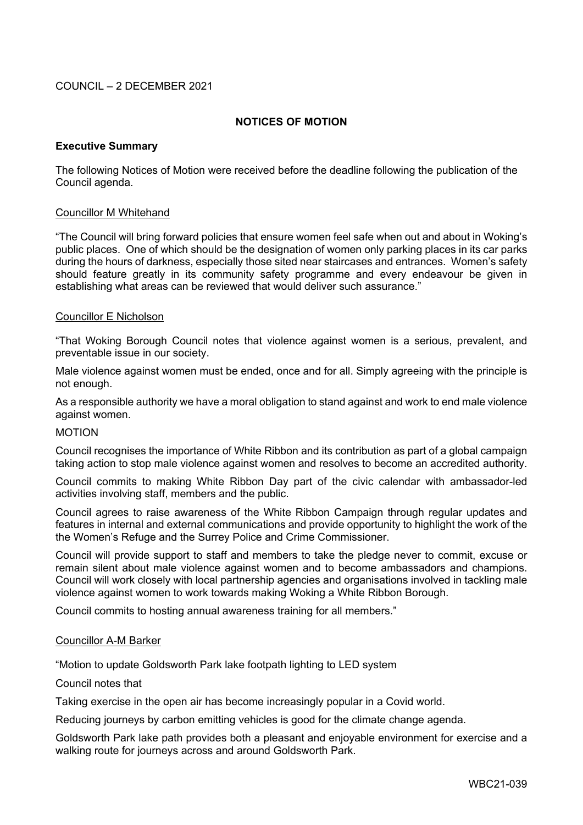# COUNCIL – 2 DECEMBER 2021

# **NOTICES OF MOTION**

## **Executive Summary**

The following Notices of Motion were received before the deadline following the publication of the Council agenda.

### Councillor M Whitehand

"The Council will bring forward policies that ensure women feel safe when out and about in Woking's public places. One of which should be the designation of women only parking places in its car parks during the hours of darkness, especially those sited near staircases and entrances. Women's safety should feature greatly in its community safety programme and every endeavour be given in establishing what areas can be reviewed that would deliver such assurance."

### Councillor E Nicholson

"That Woking Borough Council notes that violence against women is a serious, prevalent, and preventable issue in our society.

Male violence against women must be ended, once and for all. Simply agreeing with the principle is not enough.

As a responsible authority we have a moral obligation to stand against and work to end male violence against women.

#### MOTION

Council recognises the importance of White Ribbon and its contribution as part of a global campaign taking action to stop male violence against women and resolves to become an accredited authority.

Council commits to making White Ribbon Day part of the civic calendar with ambassador-led activities involving staff, members and the public.

Council agrees to raise awareness of the White Ribbon Campaign through regular updates and features in internal and external communications and provide opportunity to highlight the work of the the Women's Refuge and the Surrey Police and Crime Commissioner.

Council will provide support to staff and members to take the pledge never to commit, excuse or remain silent about male violence against women and to become ambassadors and champions. Council will work closely with local partnership agencies and organisations involved in tackling male violence against women to work towards making Woking a White Ribbon Borough.

Council commits to hosting annual awareness training for all members."

## Councillor A-M Barker

"Motion to update Goldsworth Park lake footpath lighting to LED system

## Council notes that

Taking exercise in the open air has become increasingly popular in a Covid world.

Reducing journeys by carbon emitting vehicles is good for the climate change agenda.

Goldsworth Park lake path provides both a pleasant and enjoyable environment for exercise and a walking route for journeys across and around Goldsworth Park.